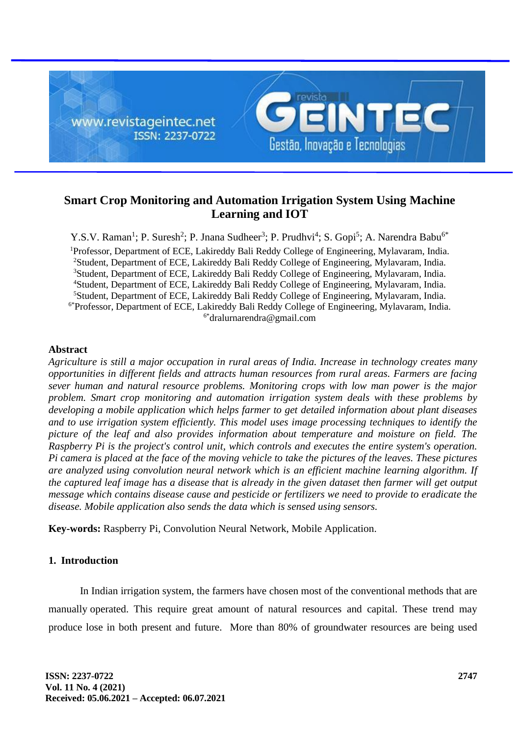

# **Smart Crop Monitoring and Automation Irrigation System Using Machine Learning and IOT**

Y.S.V. Raman<sup>1</sup>; P. Suresh<sup>2</sup>; P. Jnana Sudheer<sup>3</sup>; P. Prudhvi<sup>4</sup>; S. Gopi<sup>5</sup>; A. Narendra Babu<sup>6\*</sup> <sup>1</sup>Professor, Department of ECE, Lakireddy Bali Reddy College of Engineering, Mylavaram, India. <sup>2</sup>Student, Department of ECE, Lakireddy Bali Reddy College of Engineering, Mylavaram, India. <sup>3</sup>Student, Department of ECE, Lakireddy Bali Reddy College of Engineering, Mylavaram, India. <sup>4</sup>Student, Department of ECE, Lakireddy Bali Reddy College of Engineering, Mylavaram, India. <sup>5</sup>Student, Department of ECE, Lakireddy Bali Reddy College of Engineering, Mylavaram, India. 6\*Professor, Department of ECE, Lakireddy Bali Reddy College of Engineering, Mylavaram, India. 6\*dralurnarendra@gmail.com

### **Abstract**

*Agriculture is still a major occupation in rural areas of India. Increase in technology creates many opportunities in different fields and attracts human resources from rural areas. Farmers are facing sever human and natural resource problems. Monitoring crops with low man power is the major problem. Smart crop monitoring and automation irrigation system deals with these problems by developing a mobile application which helps farmer to get detailed information about plant diseases and to use irrigation system efficiently. This model uses image processing techniques to identify the picture of the leaf and also provides information about temperature and moisture on field. The Raspberry Pi is the project's control unit, which controls and executes the entire system's operation. Pi camera is placed at the face of the moving vehicle to take the pictures of the leaves. These pictures are analyzed using convolution neural network which is an efficient machine learning algorithm. If the captured leaf image has a disease that is already in the given dataset then farmer will get output message which contains disease cause and pesticide or fertilizers we need to provide to eradicate the disease. Mobile application also sends the data which is sensed using sensors.*

**Key-words:** Raspberry Pi, Convolution Neural Network, Mobile Application.

# **1. Introduction**

In Indian irrigation system, the farmers have chosen most of the conventional methods that are manually operated. This require great amount of natural resources and capital. These trend may produce lose in both present and future. More than 80% of groundwater resources are being used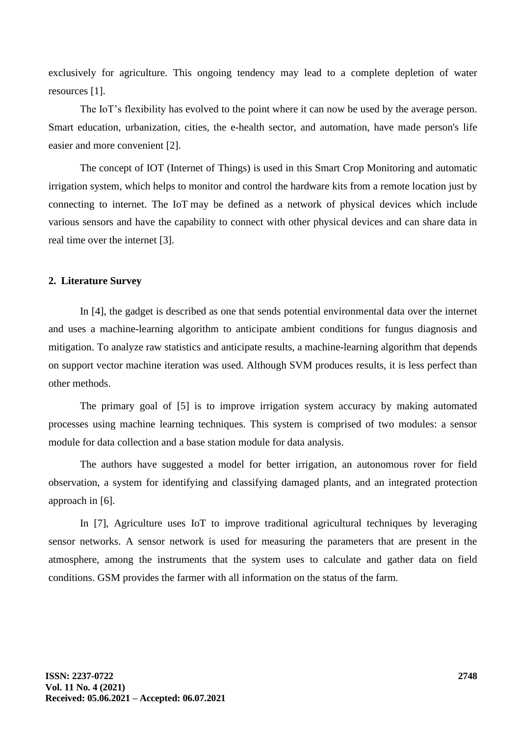exclusively for agriculture. This ongoing tendency may lead to a complete depletion of water resources [1].

The IoT's flexibility has evolved to the point where it can now be used by the average person. Smart education, urbanization, cities, the e-health sector, and automation, have made person's life easier and more convenient [2].

The concept of IOT (Internet of Things) is used in this Smart Crop Monitoring and automatic irrigation system, which helps to monitor and control the hardware kits from a remote location just by connecting to internet. The IoT may be defined as a network of physical devices which include various sensors and have the capability to connect with other physical devices and can share data in real time over the internet [3].

### **2. Literature Survey**

In [4], the gadget is described as one that sends potential environmental data over the internet and uses a machine-learning algorithm to anticipate ambient conditions for fungus diagnosis and mitigation. To analyze raw statistics and anticipate results, a machine-learning algorithm that depends on support vector machine iteration was used. Although SVM produces results, it is less perfect than other methods.

The primary goal of [5] is to improve irrigation system accuracy by making automated processes using machine learning techniques. This system is comprised of two modules: a sensor module for data collection and a base station module for data analysis.

The authors have suggested a model for better irrigation, an autonomous rover for field observation, a system for identifying and classifying damaged plants, and an integrated protection approach in [6].

In [7], Agriculture uses IoT to improve traditional agricultural techniques by leveraging sensor networks. A sensor network is used for measuring the parameters that are present in the atmosphere, among the instruments that the system uses to calculate and gather data on field conditions. GSM provides the farmer with all information on the status of the farm.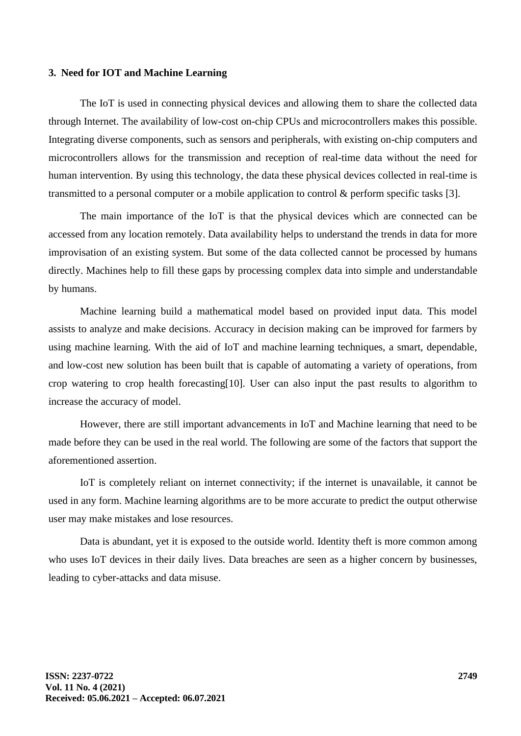#### **3. Need for IOT and Machine Learning**

The IoT is used in connecting physical devices and allowing them to share the collected data through Internet. The availability of low-cost on-chip CPUs and microcontrollers makes this possible. Integrating diverse components, such as sensors and peripherals, with existing on-chip computers and microcontrollers allows for the transmission and reception of real-time data without the need for human intervention. By using this technology, the data these physical devices collected in real-time is transmitted to a personal computer or a mobile application to control & perform specific tasks [3].

The main importance of the IoT is that the physical devices which are connected can be accessed from any location remotely. Data availability helps to understand the trends in data for more improvisation of an existing system. But some of the data collected cannot be processed by humans directly. Machines help to fill these gaps by processing complex data into simple and understandable by humans.

Machine learning build a mathematical model based on provided input data. This model assists to analyze and make decisions. Accuracy in decision making can be improved for farmers by using machine learning. With the aid of IoT and machine learning techniques, a smart, dependable, and low-cost new solution has been built that is capable of automating a variety of operations, from crop watering to crop health forecasting[10]. User can also input the past results to algorithm to increase the accuracy of model.

However, there are still important advancements in IoT and Machine learning that need to be made before they can be used in the real world. The following are some of the factors that support the aforementioned assertion.

IoT is completely reliant on internet connectivity; if the internet is unavailable, it cannot be used in any form. Machine learning algorithms are to be more accurate to predict the output otherwise user may make mistakes and lose resources.

Data is abundant, yet it is exposed to the outside world. Identity theft is more common among who uses IoT devices in their daily lives. Data breaches are seen as a higher concern by businesses, leading to cyber-attacks and data misuse.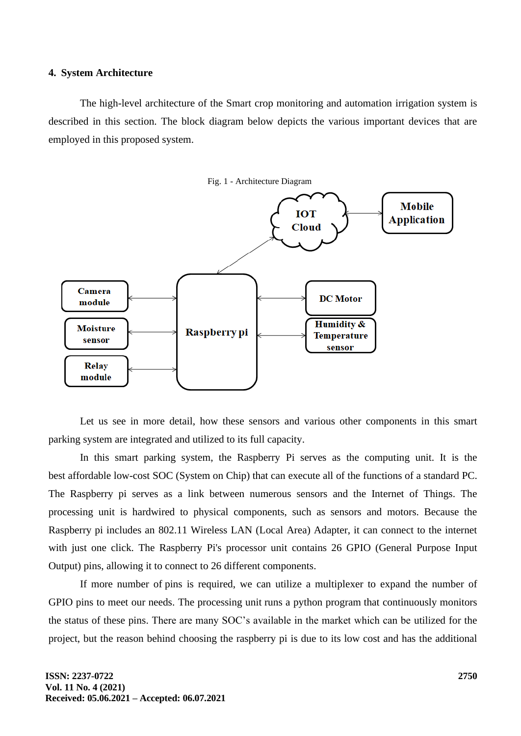#### **4. System Architecture**

The high-level architecture of the Smart crop monitoring and automation irrigation system is described in this section. The block diagram below depicts the various important devices that are employed in this proposed system.



Let us see in more detail, how these sensors and various other components in this smart parking system are integrated and utilized to its full capacity.

In this smart parking system, the Raspberry Pi serves as the computing unit. It is the best affordable low-cost SOC (System on Chip) that can execute all of the functions of a standard PC. The Raspberry pi serves as a link between numerous sensors and the Internet of Things. The processing unit is hardwired to physical components, such as sensors and motors. Because the Raspberry pi includes an 802.11 Wireless LAN (Local Area) Adapter, it can connect to the internet with just one click. The Raspberry Pi's processor unit contains 26 GPIO (General Purpose Input Output) pins, allowing it to connect to 26 different components.

If more number of pins is required, we can utilize a multiplexer to expand the number of GPIO pins to meet our needs. The processing unit runs a python program that continuously monitors the status of these pins. There are many SOC's available in the market which can be utilized for the project, but the reason behind choosing the raspberry pi is due to its low cost and has the additional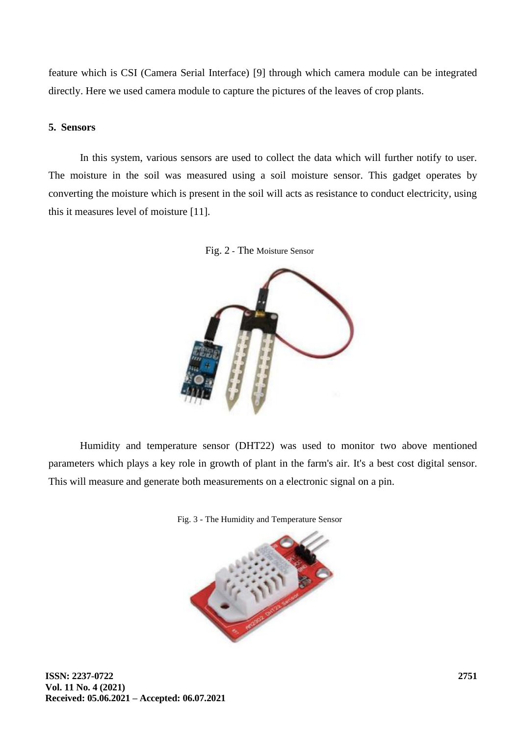feature which is CSI (Camera Serial Interface) [9] through which camera module can be integrated directly. Here we used camera module to capture the pictures of the leaves of crop plants.

# **5. Sensors**

In this system, various sensors are used to collect the data which will further notify to user. The moisture in the soil was measured using a soil moisture sensor. This gadget operates by converting the moisture which is present in the soil will acts as resistance to conduct electricity, using this it measures level of moisture [11].





Humidity and temperature sensor (DHT22) was used to monitor two above mentioned parameters which plays a key role in growth of plant in the farm's air. It's a best cost digital sensor. This will measure and generate both measurements on a electronic signal on a pin.



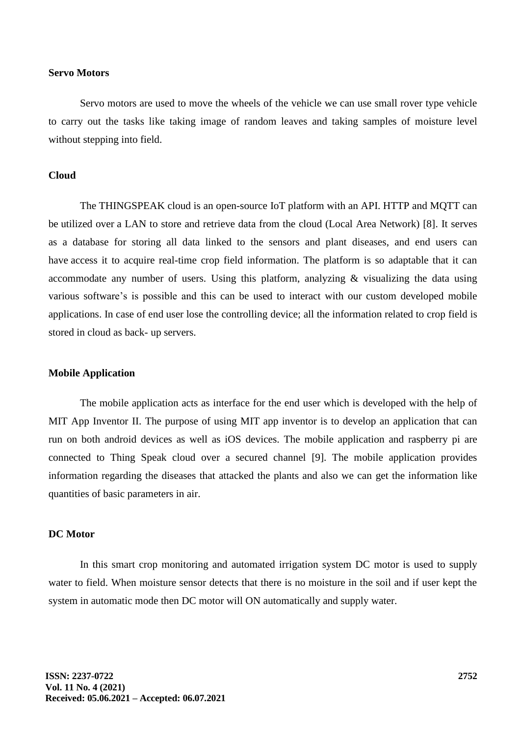### **Servo Motors**

Servo motors are used to move the wheels of the vehicle we can use small rover type vehicle to carry out the tasks like taking image of random leaves and taking samples of moisture level without stepping into field.

#### **Cloud**

The THINGSPEAK cloud is an open-source IoT platform with an API. HTTP and MQTT can be utilized over a LAN to store and retrieve data from the cloud (Local Area Network) [8]. It serves as a database for storing all data linked to the sensors and plant diseases, and end users can have access it to acquire real-time crop field information. The platform is so adaptable that it can accommodate any number of users. Using this platform, analyzing & visualizing the data using various software's is possible and this can be used to interact with our custom developed mobile applications. In case of end user lose the controlling device; all the information related to crop field is stored in cloud as back- up servers.

#### **Mobile Application**

The mobile application acts as interface for the end user which is developed with the help of MIT App Inventor II. The purpose of using MIT app inventor is to develop an application that can run on both android devices as well as iOS devices. The mobile application and raspberry pi are connected to Thing Speak cloud over a secured channel [9]. The mobile application provides information regarding the diseases that attacked the plants and also we can get the information like quantities of basic parameters in air.

# **DC Motor**

In this smart crop monitoring and automated irrigation system DC motor is used to supply water to field. When moisture sensor detects that there is no moisture in the soil and if user kept the system in automatic mode then DC motor will ON automatically and supply water.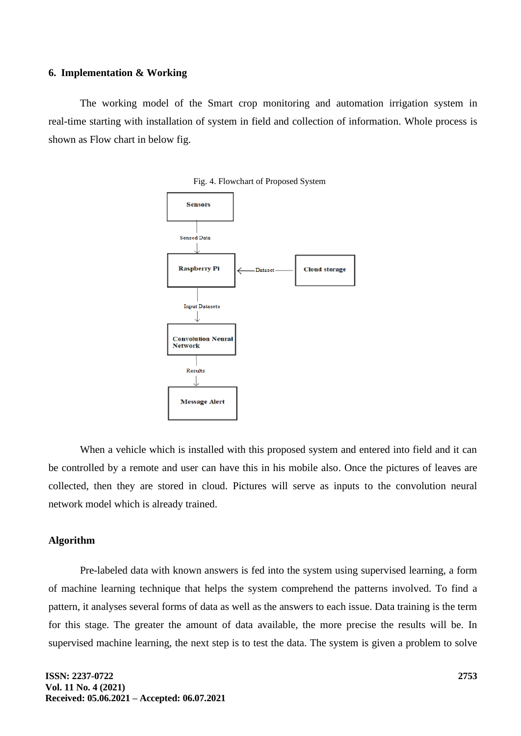#### **6. Implementation & Working**

The working model of the Smart crop monitoring and automation irrigation system in real-time starting with installation of system in field and collection of information. Whole process is shown as Flow chart in below fig.



Fig. 4. Flowchart of Proposed System

When a vehicle which is installed with this proposed system and entered into field and it can be controlled by a remote and user can have this in his mobile also. Once the pictures of leaves are collected, then they are stored in cloud. Pictures will serve as inputs to the convolution neural network model which is already trained.

# **Algorithm**

Pre-labeled data with known answers is fed into the system using supervised learning, a form of machine learning technique that helps the system comprehend the patterns involved. To find a pattern, it analyses several forms of data as well as the answers to each issue. Data training is the term for this stage. The greater the amount of data available, the more precise the results will be. In supervised machine learning, the next step is to test the data. The system is given a problem to solve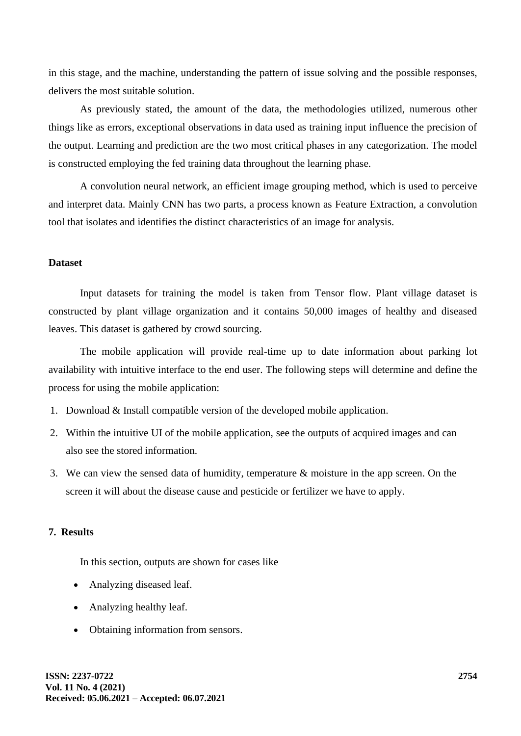in this stage, and the machine, understanding the pattern of issue solving and the possible responses, delivers the most suitable solution.

As previously stated, the amount of the data, the methodologies utilized, numerous other things like as errors, exceptional observations in data used as training input influence the precision of the output. Learning and prediction are the two most critical phases in any categorization. The model is constructed employing the fed training data throughout the learning phase.

A convolution neural network, an efficient image grouping method, which is used to perceive and interpret data. Mainly CNN has two parts, a process known as Feature Extraction, a convolution tool that isolates and identifies the distinct characteristics of an image for analysis.

### **Dataset**

Input datasets for training the model is taken from Tensor flow. Plant village dataset is constructed by plant village organization and it contains 50,000 images of healthy and diseased leaves. This dataset is gathered by crowd sourcing.

The mobile application will provide real-time up to date information about parking lot availability with intuitive interface to the end user. The following steps will determine and define the process for using the mobile application:

- 1. Download & Install compatible version of the developed mobile application.
- 2. Within the intuitive UI of the mobile application, see the outputs of acquired images and can also see the stored information.
- 3. We can view the sensed data of humidity, temperature & moisture in the app screen. On the screen it will about the disease cause and pesticide or fertilizer we have to apply.

# **7. Results**

In this section, outputs are shown for cases like

- Analyzing diseased leaf.
- Analyzing healthy leaf.
- Obtaining information from sensors.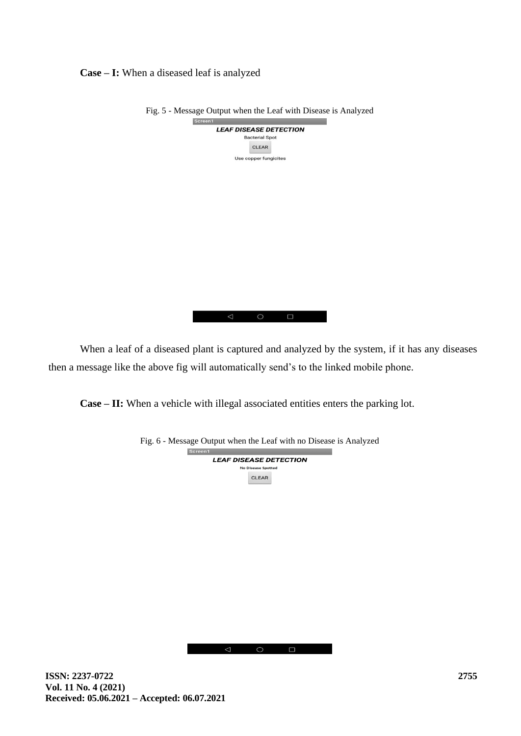**Case – I:** When a diseased leaf is analyzed

| . 5 - Message Output when the Lear with Disease is Afra |
|---------------------------------------------------------|
| Screen1                                                 |
| <b>LEAF DISEASE DETECTION</b>                           |
| <b>Bacterial Spot</b>                                   |
| <b>CLEAR</b>                                            |
| Use copper fungicites                                   |
|                                                         |
|                                                         |
|                                                         |
|                                                         |
|                                                         |
|                                                         |
|                                                         |
|                                                         |
|                                                         |
|                                                         |
|                                                         |
|                                                         |
|                                                         |
|                                                         |
|                                                         |
|                                                         |
|                                                         |

Fig. 5 - Message Output when the Leaf with Disease is Analyzed

When a leaf of a diseased plant is captured and analyzed by the system, if it has any diseases then a message like the above fig will automatically send's to the linked mobile phone.

 $\begin{picture}(160,20) \put(0,0){\dashbox{0.5}(100,0){ }} \put(160,0){\dashbox{0.5}(100,0){ }} \put(160,0){\dashbox{0.5}(100,0){ }} \put(160,0){\dashbox{0.5}(100,0){ }} \put(160,0){\dashbox{0.5}(100,0){ }} \put(160,0){\dashbox{0.5}(100,0){ }} \put(160,0){\dashbox{0.5}(100,0){ }} \put(160,0){\dashbox{0.5}(100,0){ }} \put(160,0){\dashbox{0.5}(1$ 

**Case – II:** When a vehicle with illegal associated entities enters the parking lot.



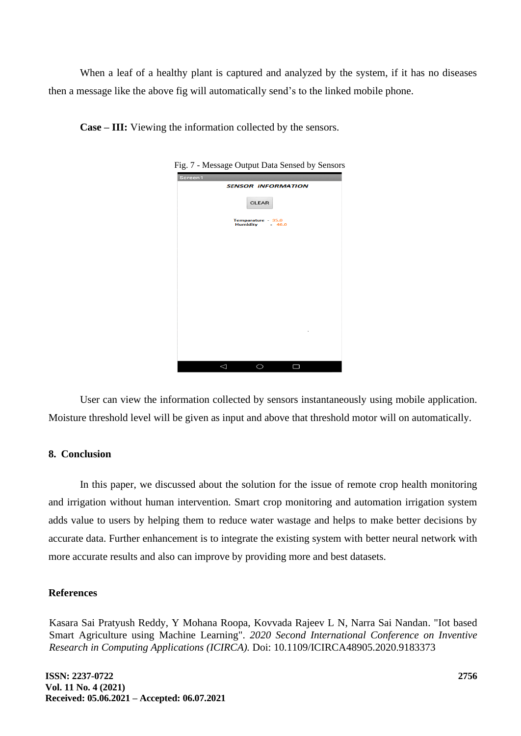When a leaf of a healthy plant is captured and analyzed by the system, if it has no diseases then a message like the above fig will automatically send's to the linked mobile phone.

| Case – III: Viewing the information collected by the sensors. |  |
|---------------------------------------------------------------|--|
|---------------------------------------------------------------|--|

| Fig. 7 - Message Output Data Sensed by Sensors |
|------------------------------------------------|
| Screen1                                        |
| <b>SENSOR INFORMATION</b>                      |
| <b>CLEAR</b>                                   |
| Temparature - 35.0<br>Humidity - 46.0          |
|                                                |
|                                                |
|                                                |
|                                                |
| ٠                                              |
|                                                |
|                                                |
| <                                              |
|                                                |

User can view the information collected by sensors instantaneously using mobile application. Moisture threshold level will be given as input and above that threshold motor will on automatically.

# **8. Conclusion**

In this paper, we discussed about the solution for the issue of remote crop health monitoring and irrigation without human intervention. Smart crop monitoring and automation irrigation system adds value to users by helping them to reduce water wastage and helps to make better decisions by accurate data. Further enhancement is to integrate the existing system with better neural network with more accurate results and also can improve by providing more and best datasets.

### **References**

Kasara Sai Pratyush Reddy, Y Mohana Roopa, Kovvada Rajeev L N, Narra Sai Nandan. "Iot based Smart Agriculture using Machine Learning". *2020 Second International Conference on Inventive Research in Computing Applications (ICIRCA).* Doi: 10.1109/ICIRCA48905.2020.9183373

**ISSN: 2237-0722 Vol. 11 No. 4 (2021) Received: 05.06.2021 – Accepted: 06.07.2021**